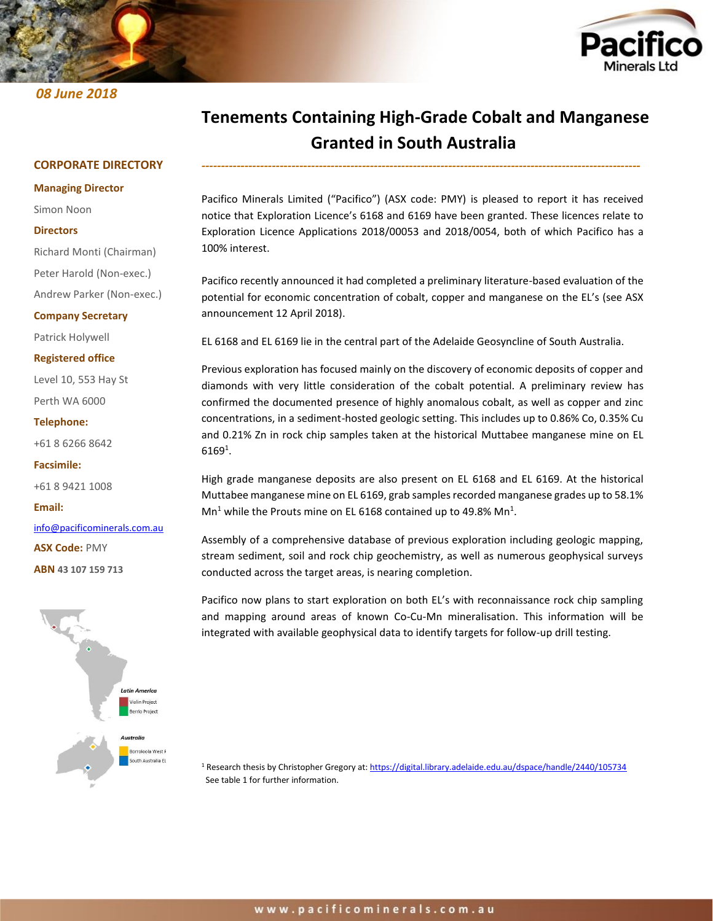# *08 June 2018*



# **Tenements Containing High-Grade Cobalt and Manganese Granted in South Australia**

*----------------------------------------------------------------------------------------------------------------*

## **CORPORATE DIRECTORY**

#### **Managing Director**

Simon Noon

#### **Directors**

Richard Monti (Chairman)

Peter Harold (Non-exec.)

Andrew Parker (Non-exec.)

#### **Company Secretary**

Patrick Holywell

#### **Registered office**

Level 10, 553 Hay St

Perth WA 6000

#### **Telephone:**

+61 8 6266 8642

**Facsimile:**

+61 8 9421 1008

**Email:**

[info@pacificominerals.com.au](mailto:info@pacificominerals.com.au)

**ASX Code:** PMY

**ABN 43 107 159 713**



Pacifico Minerals Limited ("Pacifico") (ASX code: PMY) is pleased to report it has received notice that Exploration Licence's 6168 and 6169 have been granted. These licences relate to Exploration Licence Applications 2018/00053 and 2018/0054, both of which Pacifico has a 100% interest.

Pacifico recently announced it had completed a preliminary literature-based evaluation of the potential for economic concentration of cobalt, copper and manganese on the EL's (see ASX announcement 12 April 2018).

EL 6168 and EL 6169 lie in the central part of the Adelaide Geosyncline of South Australia.

Previous exploration has focused mainly on the discovery of economic deposits of copper and diamonds with very little consideration of the cobalt potential. A preliminary review has confirmed the documented presence of highly anomalous cobalt, as well as copper and zinc concentrations, in a sediment-hosted geologic setting. This includes up to 0.86% Co, 0.35% Cu and 0.21% Zn in rock chip samples taken at the historical Muttabee manganese mine on EL  $6169^1$ .

High grade manganese deposits are also present on EL 6168 and EL 6169. At the historical Muttabee manganese mine on EL 6169, grab samples recorded manganese grades up to 58.1%  $\text{Mn}^1$  while the Prouts mine on EL 6168 contained up to 49.8% Mn<sup>1</sup>.

Assembly of a comprehensive database of previous exploration including geologic mapping, stream sediment, soil and rock chip geochemistry, as well as numerous geophysical surveys conducted across the target areas, is nearing completion.

Pacifico now plans to start exploration on both EL's with reconnaissance rock chip sampling and mapping around areas of known Co-Cu-Mn mineralisation. This information will be integrated with available geophysical data to identify targets for follow-up drill testing.

<sup>1</sup> Research thesis by Christopher Gregory at:<https://digital.library.adelaide.edu.au/dspace/handle/2440/105734> See table 1 for further information.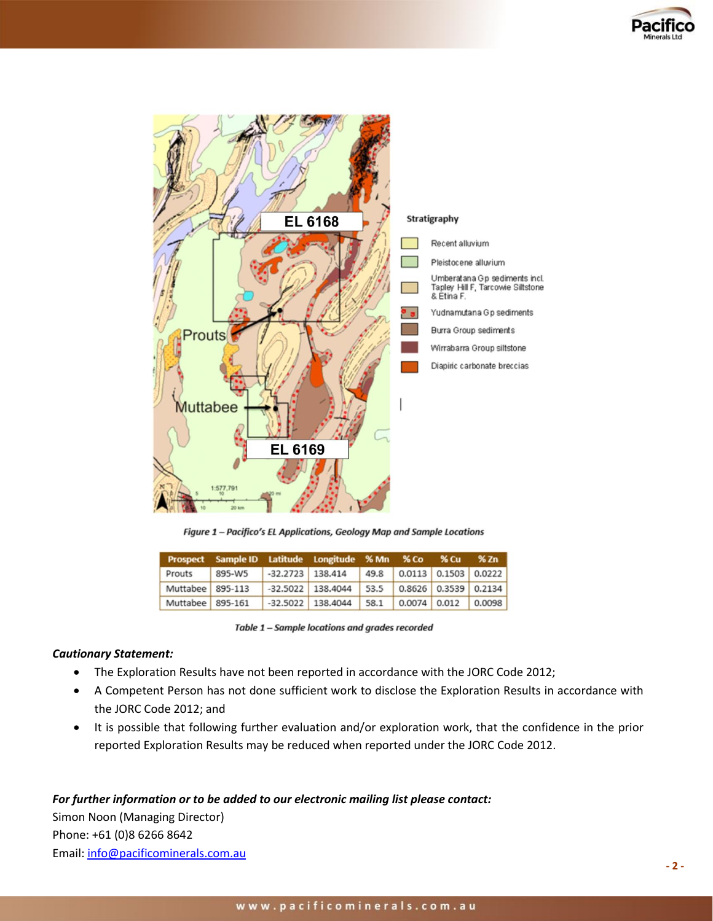



Figure 1 - Pacifico's EL Applications, Geology Map and Sample Locations

|                  | Prospect Sample ID Latitude Longitude % Mn % Co % Cu % Zn |                    |                     |      |                           |                        |  |
|------------------|-----------------------------------------------------------|--------------------|---------------------|------|---------------------------|------------------------|--|
| Prouts           | 895-W5                                                    | $-32.2723$ 138.414 |                     |      | 49.8 0.0113 0.1503 0.0222 |                        |  |
| Muttabee 895-113 |                                                           |                    | $-32.5022$ 138.4044 | 53.5 |                           | $0.8626$ 0.3539 0.2134 |  |
| Muttabee 895-161 |                                                           |                    | $-32.5022$ 138.4044 | 58.1 |                           | $0.0074$ 0.012 0.0098  |  |

| Table 1 - Sample locations and grades recorded |
|------------------------------------------------|
|------------------------------------------------|

## *Cautionary Statement:*

- The Exploration Results have not been reported in accordance with the JORC Code 2012;
- A Competent Person has not done sufficient work to disclose the Exploration Results in accordance with the JORC Code 2012; and
- It is possible that following further evaluation and/or exploration work, that the confidence in the prior reported Exploration Results may be reduced when reported under the JORC Code 2012.

## *For further information or to be added to our electronic mailing list please contact:*

Simon Noon (Managing Director) Phone: +61 (0)8 6266 8642 Email: [info@pacificominerals.com.au](mailto:info@pacificominerals.com.au)